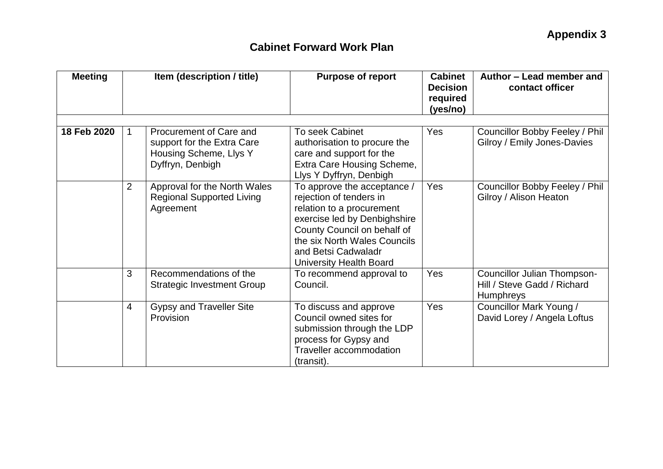| <b>Meeting</b> | Item (description / title) |                                                                                                     | <b>Purpose of report</b>                                                                                                                                                                                                                    | <b>Cabinet</b><br><b>Decision</b><br>required<br>(yes/no) | Author - Lead member and<br>contact officer                                    |
|----------------|----------------------------|-----------------------------------------------------------------------------------------------------|---------------------------------------------------------------------------------------------------------------------------------------------------------------------------------------------------------------------------------------------|-----------------------------------------------------------|--------------------------------------------------------------------------------|
|                |                            |                                                                                                     |                                                                                                                                                                                                                                             |                                                           |                                                                                |
| 18 Feb 2020    | $\mathbf 1$                | Procurement of Care and<br>support for the Extra Care<br>Housing Scheme, Llys Y<br>Dyffryn, Denbigh | <b>To seek Cabinet</b><br>authorisation to procure the<br>care and support for the<br>Extra Care Housing Scheme,<br>Llys Y Dyffryn, Denbigh                                                                                                 | Yes                                                       | Councillor Bobby Feeley / Phil<br>Gilroy / Emily Jones-Davies                  |
|                | $\overline{2}$             | Approval for the North Wales<br><b>Regional Supported Living</b><br>Agreement                       | To approve the acceptance /<br>rejection of tenders in<br>relation to a procurement<br>exercise led by Denbighshire<br>County Council on behalf of<br>the six North Wales Councils<br>and Betsi Cadwaladr<br><b>University Health Board</b> | Yes                                                       | Councillor Bobby Feeley / Phil<br>Gilroy / Alison Heaton                       |
|                | 3                          | Recommendations of the<br><b>Strategic Investment Group</b>                                         | To recommend approval to<br>Council.                                                                                                                                                                                                        | Yes                                                       | Councillor Julian Thompson-<br>Hill / Steve Gadd / Richard<br><b>Humphreys</b> |
|                | $\overline{4}$             | <b>Gypsy and Traveller Site</b><br>Provision                                                        | To discuss and approve<br>Council owned sites for<br>submission through the LDP<br>process for Gypsy and<br><b>Traveller accommodation</b><br>(transit).                                                                                    | Yes                                                       | Councillor Mark Young /<br>David Lorey / Angela Loftus                         |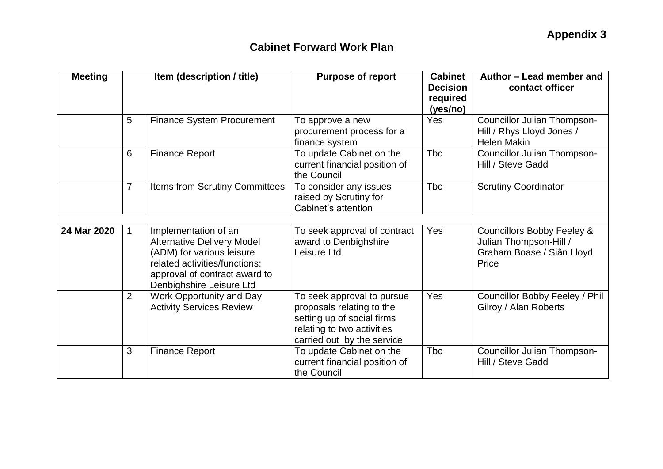| <b>Meeting</b> | Item (description / title) |                                                                                                                                                                                      | <b>Purpose of report</b>                                                                                                                          | <b>Cabinet</b><br><b>Decision</b><br>required<br>(yes/no) | Author - Lead member and<br>contact officer                                                           |  |
|----------------|----------------------------|--------------------------------------------------------------------------------------------------------------------------------------------------------------------------------------|---------------------------------------------------------------------------------------------------------------------------------------------------|-----------------------------------------------------------|-------------------------------------------------------------------------------------------------------|--|
|                | 5                          | <b>Finance System Procurement</b>                                                                                                                                                    | To approve a new<br>procurement process for a<br>finance system                                                                                   | Yes                                                       | <b>Councillor Julian Thompson-</b><br>Hill / Rhys Lloyd Jones /<br><b>Helen Makin</b>                 |  |
|                | 6                          | <b>Finance Report</b>                                                                                                                                                                | To update Cabinet on the<br>current financial position of<br>the Council                                                                          | <b>Tbc</b>                                                | Councillor Julian Thompson-<br>Hill / Steve Gadd                                                      |  |
|                | $\overline{7}$             | Items from Scrutiny Committees                                                                                                                                                       | To consider any issues<br>raised by Scrutiny for<br>Cabinet's attention                                                                           | <b>Tbc</b>                                                | <b>Scrutiny Coordinator</b>                                                                           |  |
| 24 Mar 2020    | $\mathbf{1}$               | Implementation of an<br><b>Alternative Delivery Model</b><br>(ADM) for various leisure<br>related activities/functions:<br>approval of contract award to<br>Denbighshire Leisure Ltd | To seek approval of contract<br>award to Denbighshire<br>Leisure Ltd                                                                              | <b>Yes</b>                                                | <b>Councillors Bobby Feeley &amp;</b><br>Julian Thompson-Hill /<br>Graham Boase / Siân Lloyd<br>Price |  |
|                | $\overline{2}$             | Work Opportunity and Day<br><b>Activity Services Review</b>                                                                                                                          | To seek approval to pursue<br>proposals relating to the<br>setting up of social firms<br>relating to two activities<br>carried out by the service | Yes                                                       | Councillor Bobby Feeley / Phil<br>Gilroy / Alan Roberts                                               |  |
|                | 3                          | <b>Finance Report</b>                                                                                                                                                                | To update Cabinet on the<br>current financial position of<br>the Council                                                                          | <b>Tbc</b>                                                | Councillor Julian Thompson-<br>Hill / Steve Gadd                                                      |  |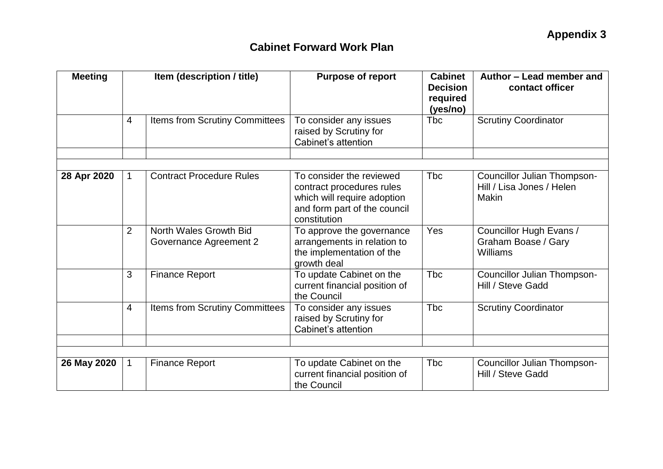| <b>Meeting</b> | Item (description / title) |                                                  | <b>Purpose of report</b>                                                                                                             | <b>Cabinet</b><br><b>Decision</b><br>required<br>(yes/no) | Author - Lead member and<br>contact officer                       |
|----------------|----------------------------|--------------------------------------------------|--------------------------------------------------------------------------------------------------------------------------------------|-----------------------------------------------------------|-------------------------------------------------------------------|
|                | $\overline{4}$             | Items from Scrutiny Committees                   | To consider any issues<br>raised by Scrutiny for<br>Cabinet's attention                                                              | Tbc                                                       | <b>Scrutiny Coordinator</b>                                       |
|                |                            |                                                  |                                                                                                                                      |                                                           |                                                                   |
| 28 Apr 2020    | $\mathbf 1$                | <b>Contract Procedure Rules</b>                  | To consider the reviewed<br>contract procedures rules<br>which will require adoption<br>and form part of the council<br>constitution | <b>T</b> bc                                               | Councillor Julian Thompson-<br>Hill / Lisa Jones / Helen<br>Makin |
|                | $\overline{2}$             | North Wales Growth Bid<br>Governance Agreement 2 | To approve the governance<br>arrangements in relation to<br>the implementation of the<br>growth deal                                 | <b>Yes</b>                                                | Councillor Hugh Evans /<br>Graham Boase / Gary<br>Williams        |
|                | 3                          | <b>Finance Report</b>                            | To update Cabinet on the<br>current financial position of<br>the Council                                                             | <b>T</b> bc                                               | <b>Councillor Julian Thompson-</b><br>Hill / Steve Gadd           |
|                | $\overline{4}$             | Items from Scrutiny Committees                   | To consider any issues<br>raised by Scrutiny for<br>Cabinet's attention                                                              | <b>T</b> bc                                               | <b>Scrutiny Coordinator</b>                                       |
|                |                            |                                                  |                                                                                                                                      |                                                           |                                                                   |
| 26 May 2020    | $\mathbf{1}$               | <b>Finance Report</b>                            | To update Cabinet on the<br>current financial position of<br>the Council                                                             | <b>T</b> bc                                               | Councillor Julian Thompson-<br>Hill / Steve Gadd                  |